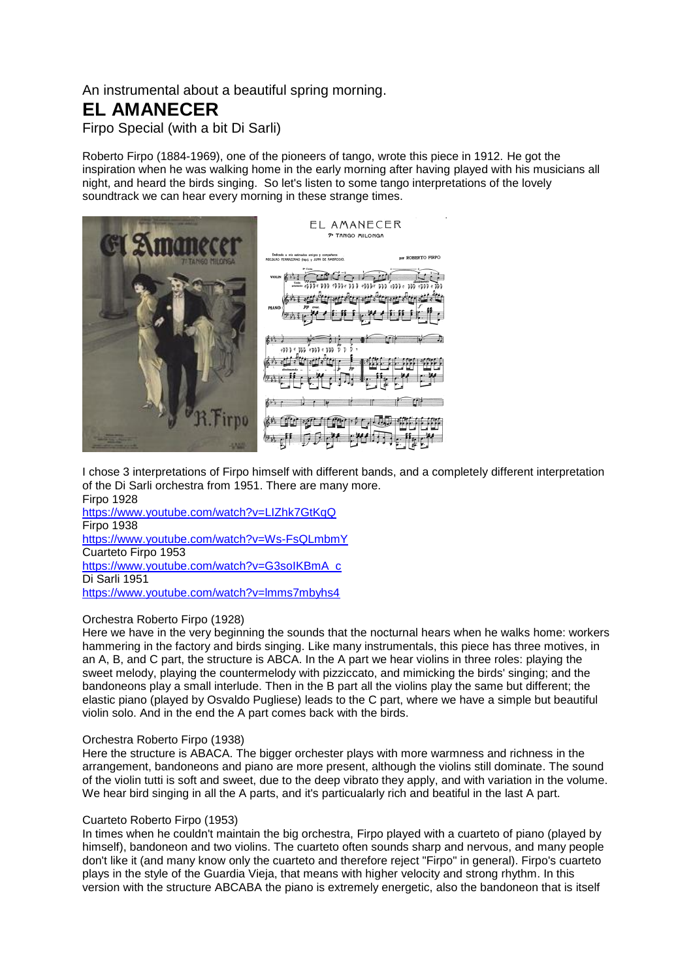An instrumental about a beautiful spring morning.

# **EL AMANECER**

Firpo Special (with a bit Di Sarli)

Roberto Firpo (1884-1969), one of the pioneers of tango, wrote this piece in 1912. He got the inspiration when he was walking home in the early morning after having played with his musicians all night, and heard the birds singing. So let's listen to some tango interpretations of the lovely soundtrack we can hear every morning in these strange times.



I chose 3 interpretations of Firpo himself with different bands, and a completely different interpretation of the Di Sarli orchestra from 1951. There are many more. Firpo 1928

<https://www.youtube.com/watch?v=LIZhk7GtKqQ> Firpo 1938 <https://www.youtube.com/watch?v=Ws-FsQLmbmY> Cuarteto Firpo 1953 [https://www.youtube.com/watch?v=G3soIKBmA\\_c](https://www.youtube.com/watch?v=G3soIKBmA_c) Di Sarli 1951 <https://www.youtube.com/watch?v=lmms7mbyhs4>

## Orchestra Roberto Firpo (1928)

Here we have in the very beginning the sounds that the nocturnal hears when he walks home: workers hammering in the factory and birds singing. Like many instrumentals, this piece has three motives, in an A, B, and C part, the structure is ABCA. In the A part we hear violins in three roles: playing the sweet melody, playing the countermelody with pizziccato, and mimicking the birds' singing; and the bandoneons play a small interlude. Then in the B part all the violins play the same but different; the elastic piano (played by Osvaldo Pugliese) leads to the C part, where we have a simple but beautiful violin solo. And in the end the A part comes back with the birds.

## Orchestra Roberto Firpo (1938)

Here the structure is ABACA. The bigger orchester plays with more warmness and richness in the arrangement, bandoneons and piano are more present, although the violins still dominate. The sound of the violin tutti is soft and sweet, due to the deep vibrato they apply, and with variation in the volume. We hear bird singing in all the A parts, and it's particualarly rich and beatiful in the last A part.

## Cuarteto Roberto Firpo (1953)

In times when he couldn't maintain the big orchestra, Firpo played with a cuarteto of piano (played by himself), bandoneon and two violins. The cuarteto often sounds sharp and nervous, and many people don't like it (and many know only the cuarteto and therefore reject "Firpo" in general). Firpo's cuarteto plays in the style of the Guardia Vieja, that means with higher velocity and strong rhythm. In this version with the structure ABCABA the piano is extremely energetic, also the bandoneon that is itself